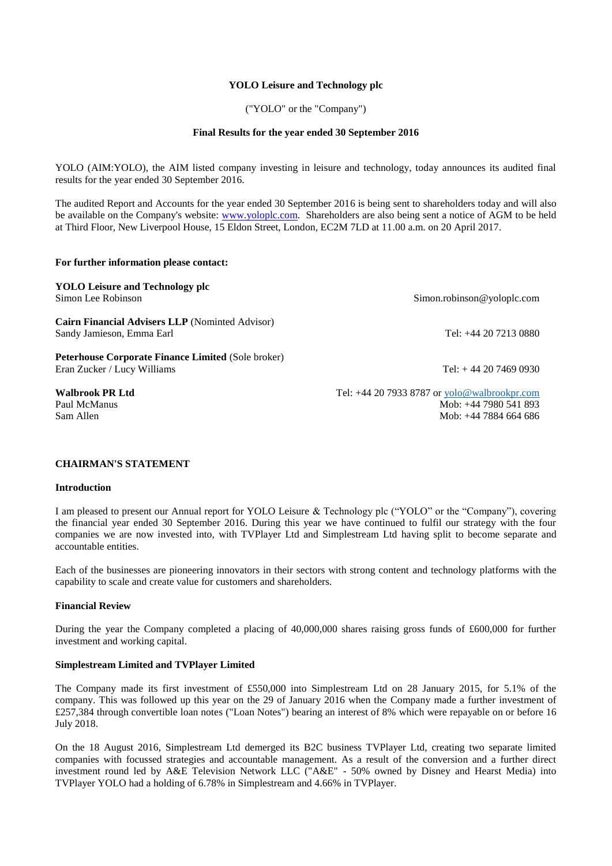### **YOLO Leisure and Technology plc**

("YOLO" or the "Company")

### **Final Results for the year ended 30 September 2016**

YOLO (AIM:YOLO), the AIM listed company investing in leisure and technology, today announces its audited final results for the year ended 30 September 2016.

The audited Report and Accounts for the year ended 30 September 2016 is being sent to shareholders today and will also be available on the Company's website: [www.yoloplc.com.](http://www.yoloplc.com/) Shareholders are also being sent a notice of AGM to be held at Third Floor, New Liverpool House, 15 Eldon Street, London, EC2M 7LD at 11.00 a.m. on 20 April 2017.

#### **For further information please contact:**

**YOLO Leisure and Technology plc** Simon Lee Robinson Simon Lee Robinson Simon Lee Robinson Company Simon.robinson @yoloplc.com

**Cairn Financial Advisers LLP** (Nominted Advisor) Sandy Jamieson, Emma Earl Tel: +44 20 7213 0880

**Peterhouse Corporate Finance Limited** (Sole broker) Eran Zucker / Lucy Williams Tel: + 44 20 7469 0930

**Walbrook PR Ltd** Tel: +44 20 7933 8787 or [yolo@walbrookpr.com](mailto:yolo@walbrookpr.com) Paul McManus Mob: +44 7980 541 893 Sam Allen Mob: +44 7884 664 686

#### **CHAIRMAN'S STATEMENT**

#### **Introduction**

I am pleased to present our Annual report for YOLO Leisure & Technology plc ("YOLO" or the "Company"), covering the financial year ended 30 September 2016. During this year we have continued to fulfil our strategy with the four companies we are now invested into, with TVPlayer Ltd and Simplestream Ltd having split to become separate and accountable entities.

Each of the businesses are pioneering innovators in their sectors with strong content and technology platforms with the capability to scale and create value for customers and shareholders.

#### **Financial Review**

During the year the Company completed a placing of 40,000,000 shares raising gross funds of £600,000 for further investment and working capital.

### **Simplestream Limited and TVPlayer Limited**

The Company made its first investment of £550,000 into Simplestream Ltd on 28 January 2015, for 5.1% of the company. This was followed up this year on the 29 of January 2016 when the Company made a further investment of £257,384 through convertible loan notes ("Loan Notes") bearing an interest of 8% which were repayable on or before 16 July 2018.

On the 18 August 2016, Simplestream Ltd demerged its B2C business TVPlayer Ltd, creating two separate limited companies with focussed strategies and accountable management. As a result of the conversion and a further direct investment round led by A&E Television Network LLC ("A&E" - 50% owned by Disney and Hearst Media) into TVPlayer YOLO had a holding of 6.78% in Simplestream and 4.66% in TVPlayer.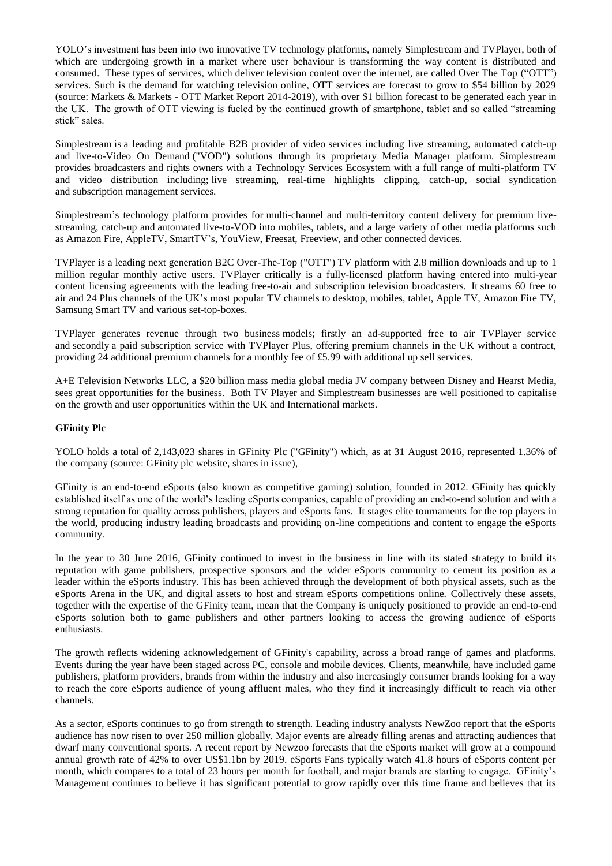YOLO's investment has been into two innovative TV technology platforms, namely Simplestream and TVPlayer, both of which are undergoing growth in a market where user behaviour is transforming the way content is distributed and consumed. These types of services, which deliver television content over the internet, are called Over The Top ("OTT") services. Such is the demand for watching television online, OTT services are forecast to grow to \$54 billion by 2029 (source: Markets & Markets - OTT Market Report 2014-2019), with over \$1 billion forecast to be generated each year in the UK. The growth of OTT viewing is fueled by the continued growth of smartphone, tablet and so called "streaming stick" sales.

Simplestream is a leading and profitable B2B provider of video services including live streaming, automated catch-up and live-to-Video On Demand ("VOD") solutions through its proprietary Media Manager platform. Simplestream provides broadcasters and rights owners with a Technology Services Ecosystem with a full range of multi-platform TV and video distribution including; live streaming, real-time highlights clipping, catch-up, social syndication and subscription management services.

Simplestream's technology platform provides for multi-channel and multi-territory content delivery for premium livestreaming, catch-up and automated live-to-VOD into mobiles, tablets, and a large variety of other media platforms such as Amazon Fire, AppleTV, SmartTV's, YouView, Freesat, Freeview, and other connected devices.

TVPlayer is a leading next generation B2C Over-The-Top ("OTT") TV platform with 2.8 million downloads and up to 1 million regular monthly active users. TVPlayer critically is a fully-licensed platform having entered into multi-year content licensing agreements with the leading free-to-air and subscription television broadcasters. It streams 60 free to air and 24 Plus channels of the UK's most popular TV channels to desktop, mobiles, tablet, Apple TV, Amazon Fire TV, Samsung Smart TV and various set-top-boxes.

TVPlayer generates revenue through two business models; firstly an ad-supported free to air TVPlayer service and secondly a paid subscription service with TVPlayer Plus, offering premium channels in the UK without a contract, providing 24 additional premium channels for a monthly fee of £5.99 with additional up sell services.

A+E Television Networks LLC, a \$20 billion mass media global media JV company between Disney and Hearst Media, sees great opportunities for the business. Both TV Player and Simplestream businesses are well positioned to capitalise on the growth and user opportunities within the UK and International markets.

## **GFinity Plc**

YOLO holds a total of 2,143,023 shares in GFinity Plc ("GFinity") which, as at 31 August 2016, represented 1.36% of the company (source: GFinity plc website, shares in issue),

GFinity is an end-to-end eSports (also known as competitive gaming) solution, founded in 2012. GFinity has quickly established itself as one of the world's leading eSports companies, capable of providing an end-to-end solution and with a strong reputation for quality across publishers, players and eSports fans. It stages elite tournaments for the top players in the world, producing industry leading broadcasts and providing on-line competitions and content to engage the eSports community.

In the year to 30 June 2016, GFinity continued to invest in the business in line with its stated strategy to build its reputation with game publishers, prospective sponsors and the wider eSports community to cement its position as a leader within the eSports industry. This has been achieved through the development of both physical assets, such as the eSports Arena in the UK, and digital assets to host and stream eSports competitions online. Collectively these assets, together with the expertise of the GFinity team, mean that the Company is uniquely positioned to provide an end-to-end eSports solution both to game publishers and other partners looking to access the growing audience of eSports enthusiasts.

The growth reflects widening acknowledgement of GFinity's capability, across a broad range of games and platforms. Events during the year have been staged across PC, console and mobile devices. Clients, meanwhile, have included game publishers, platform providers, brands from within the industry and also increasingly consumer brands looking for a way to reach the core eSports audience of young affluent males, who they find it increasingly difficult to reach via other channels.

As a sector, eSports continues to go from strength to strength. Leading industry analysts NewZoo report that the eSports audience has now risen to over 250 million globally. Major events are already filling arenas and attracting audiences that dwarf many conventional sports. A recent report by Newzoo forecasts that the eSports market will grow at a compound annual growth rate of 42% to over US\$1.1bn by 2019. eSports Fans typically watch 41.8 hours of eSports content per month, which compares to a total of 23 hours per month for football, and major brands are starting to engage. GFinity's Management continues to believe it has significant potential to grow rapidly over this time frame and believes that its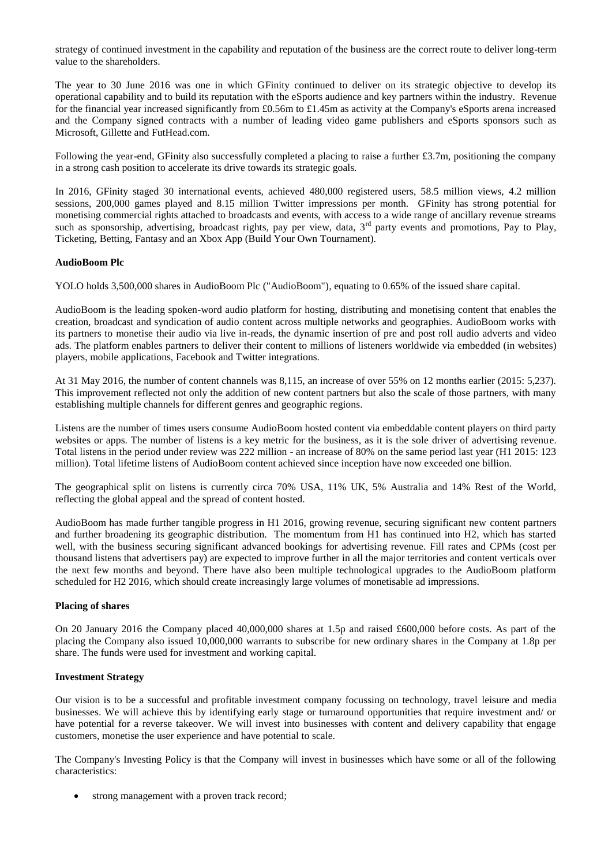strategy of continued investment in the capability and reputation of the business are the correct route to deliver long-term value to the shareholders.

The year to 30 June 2016 was one in which GFinity continued to deliver on its strategic objective to develop its operational capability and to build its reputation with the eSports audience and key partners within the industry. Revenue for the financial year increased significantly from £0.56m to £1.45m as activity at the Company's eSports arena increased and the Company signed contracts with a number of leading video game publishers and eSports sponsors such as Microsoft, Gillette and FutHead.com.

Following the year-end, GFinity also successfully completed a placing to raise a further  $\pounds 3.7$ m, positioning the company in a strong cash position to accelerate its drive towards its strategic goals.

In 2016, GFinity staged 30 international events, achieved 480,000 registered users, 58.5 million views, 4.2 million sessions, 200,000 games played and 8.15 million Twitter impressions per month. GFinity has strong potential for monetising commercial rights attached to broadcasts and events, with access to a wide range of ancillary revenue streams such as sponsorship, advertising, broadcast rights, pay per view, data,  $3<sup>rd</sup>$  party events and promotions, Pay to Play, Ticketing, Betting, Fantasy and an Xbox App (Build Your Own Tournament).

### **AudioBoom Plc**

YOLO holds 3,500,000 shares in AudioBoom Plc ("AudioBoom"), equating to 0.65% of the issued share capital.

AudioBoom is the leading spoken-word audio platform for hosting, distributing and monetising content that enables the creation, broadcast and syndication of audio content across multiple networks and geographies. AudioBoom works with its partners to monetise their audio via live in-reads, the dynamic insertion of pre and post roll audio adverts and video ads. The platform enables partners to deliver their content to millions of listeners worldwide via embedded (in websites) players, mobile applications, Facebook and Twitter integrations.

At 31 May 2016, the number of content channels was 8,115, an increase of over 55% on 12 months earlier (2015: 5,237). This improvement reflected not only the addition of new content partners but also the scale of those partners, with many establishing multiple channels for different genres and geographic regions.

Listens are the number of times users consume AudioBoom hosted content via embeddable content players on third party websites or apps. The number of listens is a key metric for the business, as it is the sole driver of advertising revenue. Total listens in the period under review was 222 million - an increase of 80% on the same period last year (H1 2015: 123 million). Total lifetime listens of AudioBoom content achieved since inception have now exceeded one billion.

The geographical split on listens is currently circa 70% USA, 11% UK, 5% Australia and 14% Rest of the World, reflecting the global appeal and the spread of content hosted.

AudioBoom has made further tangible progress in H1 2016, growing revenue, securing significant new content partners and further broadening its geographic distribution. The momentum from H1 has continued into H2, which has started well, with the business securing significant advanced bookings for advertising revenue. Fill rates and CPMs (cost per thousand listens that advertisers pay) are expected to improve further in all the major territories and content verticals over the next few months and beyond. There have also been multiple technological upgrades to the AudioBoom platform scheduled for H2 2016, which should create increasingly large volumes of monetisable ad impressions.

### **Placing of shares**

On 20 January 2016 the Company placed 40,000,000 shares at 1.5p and raised £600,000 before costs. As part of the placing the Company also issued 10,000,000 warrants to subscribe for new ordinary shares in the Company at 1.8p per share. The funds were used for investment and working capital.

#### **Investment Strategy**

Our vision is to be a successful and profitable investment company focussing on technology, travel leisure and media businesses. We will achieve this by identifying early stage or turnaround opportunities that require investment and/ or have potential for a reverse takeover. We will invest into businesses with content and delivery capability that engage customers, monetise the user experience and have potential to scale.

The Company's Investing Policy is that the Company will invest in businesses which have some or all of the following characteristics:

strong management with a proven track record;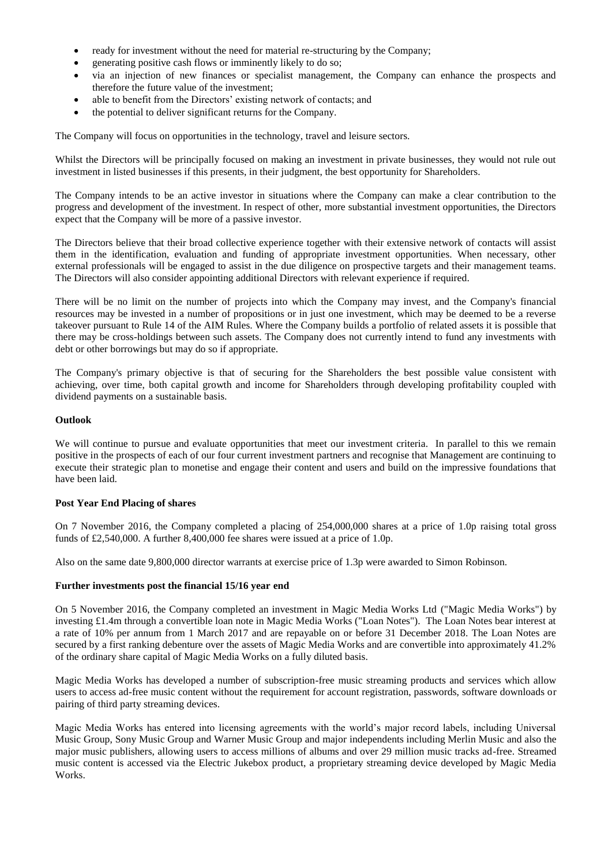- ready for investment without the need for material re-structuring by the Company;
- generating positive cash flows or imminently likely to do so;
- via an injection of new finances or specialist management, the Company can enhance the prospects and therefore the future value of the investment;
- able to benefit from the Directors' existing network of contacts; and
- the potential to deliver significant returns for the Company.

The Company will focus on opportunities in the technology, travel and leisure sectors.

Whilst the Directors will be principally focused on making an investment in private businesses, they would not rule out investment in listed businesses if this presents, in their judgment, the best opportunity for Shareholders.

The Company intends to be an active investor in situations where the Company can make a clear contribution to the progress and development of the investment. In respect of other, more substantial investment opportunities, the Directors expect that the Company will be more of a passive investor.

The Directors believe that their broad collective experience together with their extensive network of contacts will assist them in the identification, evaluation and funding of appropriate investment opportunities. When necessary, other external professionals will be engaged to assist in the due diligence on prospective targets and their management teams. The Directors will also consider appointing additional Directors with relevant experience if required.

There will be no limit on the number of projects into which the Company may invest, and the Company's financial resources may be invested in a number of propositions or in just one investment, which may be deemed to be a reverse takeover pursuant to Rule 14 of the AIM Rules. Where the Company builds a portfolio of related assets it is possible that there may be cross-holdings between such assets. The Company does not currently intend to fund any investments with debt or other borrowings but may do so if appropriate.

The Company's primary objective is that of securing for the Shareholders the best possible value consistent with achieving, over time, both capital growth and income for Shareholders through developing profitability coupled with dividend payments on a sustainable basis.

### **Outlook**

We will continue to pursue and evaluate opportunities that meet our investment criteria. In parallel to this we remain positive in the prospects of each of our four current investment partners and recognise that Management are continuing to execute their strategic plan to monetise and engage their content and users and build on the impressive foundations that have been laid.

### **Post Year End Placing of shares**

On 7 November 2016, the Company completed a placing of 254,000,000 shares at a price of 1.0p raising total gross funds of £2,540,000. A further 8,400,000 fee shares were issued at a price of 1.0p.

Also on the same date 9,800,000 director warrants at exercise price of 1.3p were awarded to Simon Robinson.

#### **Further investments post the financial 15/16 year end**

On 5 November 2016, the Company completed an investment in Magic Media Works Ltd ("Magic Media Works") by investing £1.4m through a convertible loan note in Magic Media Works ("Loan Notes"). The Loan Notes bear interest at a rate of 10% per annum from 1 March 2017 and are repayable on or before 31 December 2018. The Loan Notes are secured by a first ranking debenture over the assets of Magic Media Works and are convertible into approximately 41.2% of the ordinary share capital of Magic Media Works on a fully diluted basis.

Magic Media Works has developed a number of subscription-free music streaming products and services which allow users to access ad-free music content without the requirement for account registration, passwords, software downloads or pairing of third party streaming devices.

Magic Media Works has entered into licensing agreements with the world's major record labels, including Universal Music Group, Sony Music Group and Warner Music Group and major independents including Merlin Music and also the major music publishers, allowing users to access millions of albums and over 29 million music tracks ad-free. Streamed music content is accessed via the Electric Jukebox product, a proprietary streaming device developed by Magic Media Works.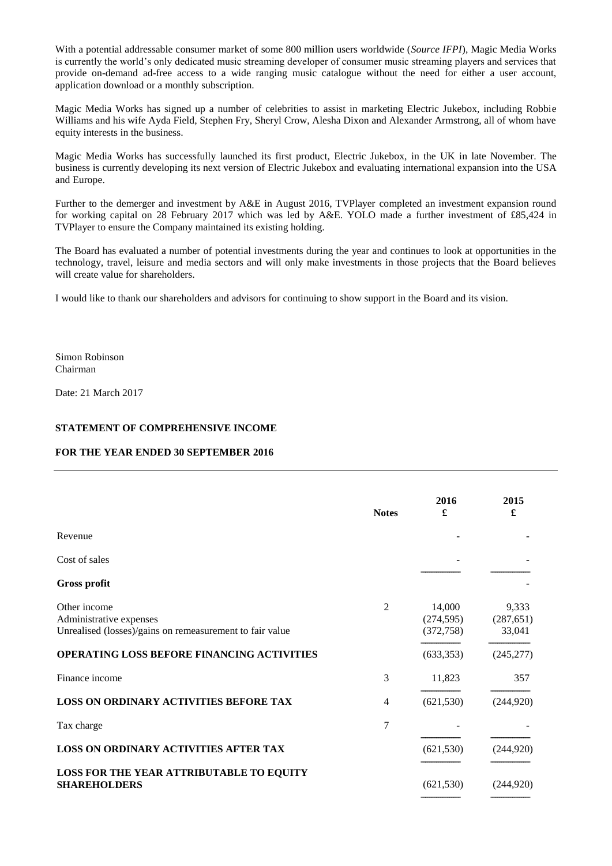With a potential addressable consumer market of some 800 million users worldwide (*Source IFPI*), Magic Media Works is currently the world's only dedicated music streaming developer of consumer music streaming players and services that provide on-demand ad-free access to a wide ranging music catalogue without the need for either a user account, application download or a monthly subscription.

Magic Media Works has signed up a number of celebrities to assist in marketing Electric Jukebox, including Robbie Williams and his wife Ayda Field, Stephen Fry, Sheryl Crow, Alesha Dixon and Alexander Armstrong, all of whom have equity interests in the business.

Magic Media Works has successfully launched its first product, Electric Jukebox, in the UK in late November. The business is currently developing its next version of Electric Jukebox and evaluating international expansion into the USA and Europe.

Further to the demerger and investment by A&E in August 2016, TVPlayer completed an investment expansion round for working capital on 28 February 2017 which was led by A&E. YOLO made a further investment of £85,424 in TVPlayer to ensure the Company maintained its existing holding.

The Board has evaluated a number of potential investments during the year and continues to look at opportunities in the technology, travel, leisure and media sectors and will only make investments in those projects that the Board believes will create value for shareholders.

I would like to thank our shareholders and advisors for continuing to show support in the Board and its vision.

Simon Robinson Chairman

Date: 21 March 2017

### **STATEMENT OF COMPREHENSIVE INCOME**

#### **FOR THE YEAR ENDED 30 SEPTEMBER 2016**

|                                                                                                     | <b>Notes</b> | 2016<br>£                          | 2015<br>£                     |
|-----------------------------------------------------------------------------------------------------|--------------|------------------------------------|-------------------------------|
| Revenue                                                                                             |              |                                    |                               |
| Cost of sales                                                                                       |              |                                    |                               |
| <b>Gross profit</b>                                                                                 |              |                                    |                               |
| Other income<br>Administrative expenses<br>Unrealised (losses)/gains on remeasurement to fair value | 2            | 14,000<br>(274, 595)<br>(372, 758) | 9,333<br>(287, 651)<br>33,041 |
| OPERATING LOSS BEFORE FINANCING ACTIVITIES                                                          |              | (633, 353)                         | (245, 277)                    |
| Finance income                                                                                      | 3            | 11,823                             | 357                           |
| <b>LOSS ON ORDINARY ACTIVITIES BEFORE TAX</b>                                                       | 4            | (621, 530)                         | (244,920)                     |
| Tax charge                                                                                          | 7            |                                    |                               |
| <b>LOSS ON ORDINARY ACTIVITIES AFTER TAX</b>                                                        |              | (621, 530)                         | (244, 920)                    |
| <b>LOSS FOR THE YEAR ATTRIBUTABLE TO EQUITY</b><br><b>SHAREHOLDERS</b>                              |              | (621, 530)                         | (244.920)                     |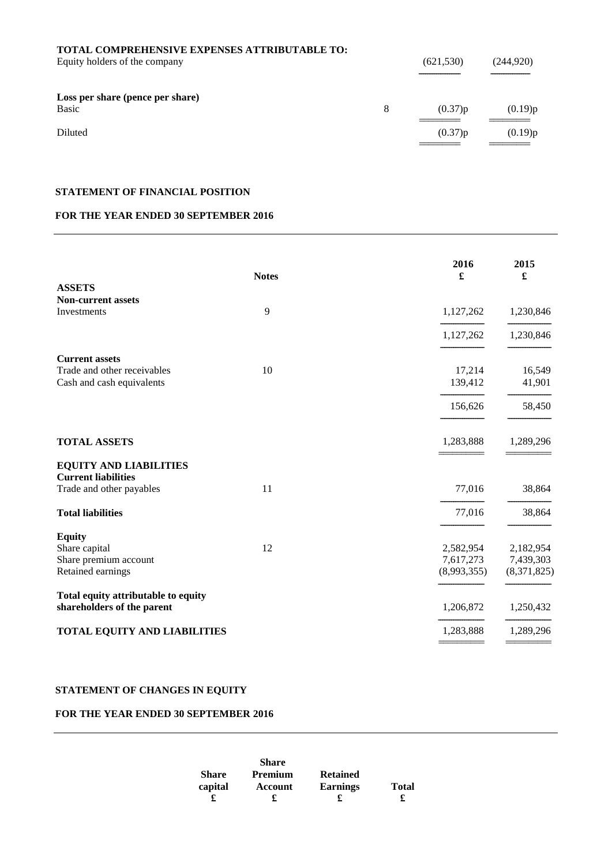| TOTAL COMPREHENSIVE EXPENSES ATTRIBUTABLE TO:<br>Equity holders of the company |   | (621, 530) | (244, 920) |
|--------------------------------------------------------------------------------|---|------------|------------|
| Loss per share (pence per share)<br>Basic                                      | 8 | (0.37)p    | (0.19)p    |
| Diluted                                                                        |   | (0.37)p    | (0.19)p    |

# **STATEMENT OF FINANCIAL POSITION**

# **FOR THE YEAR ENDED 30 SEPTEMBER 2016**

|                                                             | <b>Notes</b> | 2016<br>£   | 2015<br>£   |
|-------------------------------------------------------------|--------------|-------------|-------------|
| <b>ASSETS</b>                                               |              |             |             |
| <b>Non-current assets</b>                                   |              |             |             |
| Investments                                                 | 9            | 1,127,262   | 1,230,846   |
|                                                             |              | 1,127,262   | 1,230,846   |
| <b>Current assets</b>                                       |              |             |             |
| Trade and other receivables                                 | 10           | 17,214      | 16,549      |
| Cash and cash equivalents                                   |              | 139,412     | 41,901      |
|                                                             |              | 156,626     | 58,450      |
| <b>TOTAL ASSETS</b>                                         |              | 1,283,888   | 1,289,296   |
| <b>EQUITY AND LIABILITIES</b><br><b>Current liabilities</b> |              |             |             |
| Trade and other payables                                    | 11           | 77,016      | 38,864      |
| <b>Total liabilities</b>                                    |              | 77,016      | 38,864      |
| <b>Equity</b>                                               |              |             |             |
| Share capital                                               | 12           | 2,582,954   | 2,182,954   |
| Share premium account                                       |              | 7,617,273   | 7,439,303   |
| Retained earnings                                           |              | (8,993,355) | (8,371,825) |
| Total equity attributable to equity                         |              |             |             |
| shareholders of the parent                                  |              | 1,206,872   | 1,250,432   |
| <b>TOTAL EQUITY AND LIABILITIES</b>                         |              | 1,283,888   | 1,289,296   |
|                                                             |              |             |             |

# **STATEMENT OF CHANGES IN EQUITY**

## **FOR THE YEAR ENDED 30 SEPTEMBER 2016**

|              | <b>Share</b>   |                 |              |
|--------------|----------------|-----------------|--------------|
| <b>Share</b> | <b>Premium</b> | <b>Retained</b> |              |
| capital      | Account        | <b>Earnings</b> | <b>Total</b> |
|              |                | £               |              |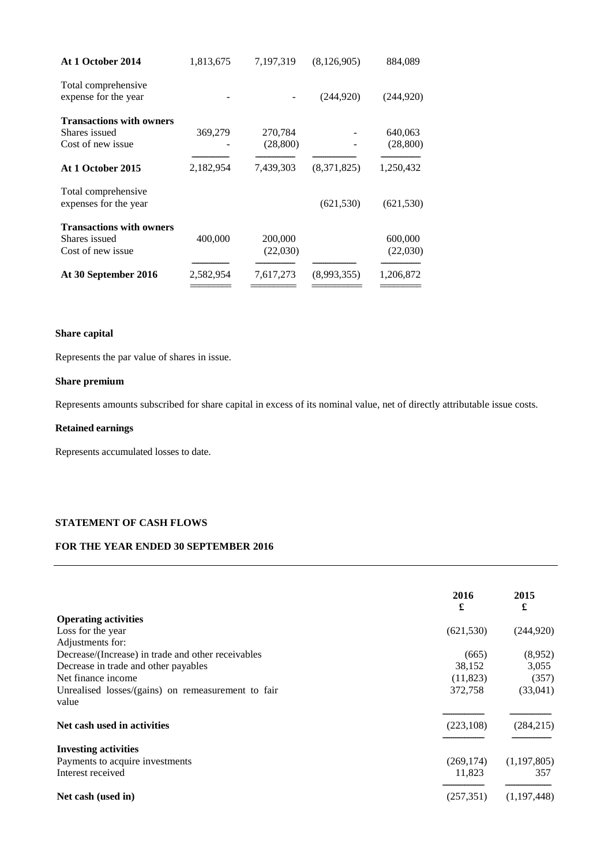| At 1 October 2014                            | 1,813,675 | 7,197,319 | (8, 126, 905) | 884,089    |
|----------------------------------------------|-----------|-----------|---------------|------------|
| Total comprehensive                          |           |           |               |            |
| expense for the year                         |           |           | (244, 920)    | (244, 920) |
| <b>Transactions with owners</b>              |           |           |               |            |
| Shares issued                                | 369,279   | 270,784   |               | 640,063    |
| Cost of new issue                            |           | (28, 800) |               | (28, 800)  |
| At 1 October 2015                            | 2,182,954 | 7,439,303 | (8,371,825)   | 1,250,432  |
| Total comprehensive<br>expenses for the year |           |           | (621, 530)    | (621, 530) |
| <b>Transactions with owners</b>              |           |           |               |            |
| Shares issued                                | 400,000   | 200,000   |               | 600,000    |
| Cost of new issue                            |           | (22,030)  |               | (22,030)   |
| At 30 September 2016                         | 2,582,954 | 7,617,273 | (8,993,355)   | 1,206,872  |
|                                              |           |           |               |            |

# **Share capital**

Represents the par value of shares in issue.

# **Share premium**

Represents amounts subscribed for share capital in excess of its nominal value, net of directly attributable issue costs.

# **Retained earnings**

Represents accumulated losses to date.

# **STATEMENT OF CASH FLOWS**

# **FOR THE YEAR ENDED 30 SEPTEMBER 2016**

|                                                    | 2016       | 2015          |
|----------------------------------------------------|------------|---------------|
|                                                    | £          | £             |
| <b>Operating activities</b>                        |            |               |
| Loss for the year                                  | (621, 530) | (244, 920)    |
| Adjustments for:                                   |            |               |
| Decrease/(Increase) in trade and other receivables | (665)      | (8,952)       |
| Decrease in trade and other payables               | 38,152     | 3,055         |
| Net finance income                                 | (11,823)   | (357)         |
| Unrealised losses/(gains) on remeasurement to fair | 372,758    | (33,041)      |
| value                                              |            |               |
| Net cash used in activities                        | (223, 108) | (284, 215)    |
| <b>Investing activities</b>                        |            |               |
| Payments to acquire investments                    | (269, 174) | (1, 197, 805) |
| Interest received                                  | 11,823     | 357           |
| Net cash (used in)                                 | (257, 351) | (1,197,448)   |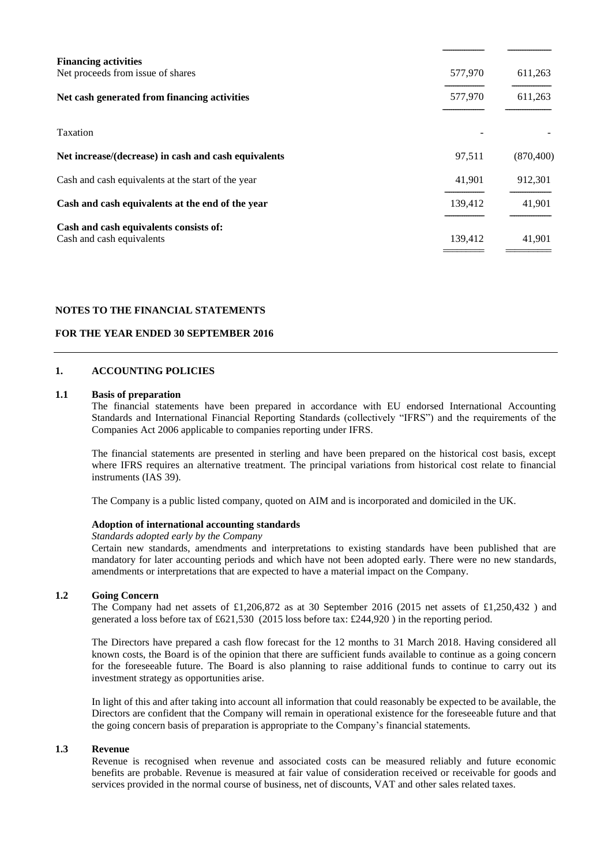| <b>Financing activities</b><br>Net proceeds from issue of shares    | 577,970 | 611,263    |
|---------------------------------------------------------------------|---------|------------|
| Net cash generated from financing activities                        | 577,970 | 611,263    |
| Taxation                                                            |         |            |
| Net increase/(decrease) in cash and cash equivalents                | 97,511  | (870, 400) |
| Cash and cash equivalents at the start of the year                  | 41,901  | 912,301    |
| Cash and cash equivalents at the end of the year                    | 139,412 | 41,901     |
| Cash and cash equivalents consists of:<br>Cash and cash equivalents | 139,412 | 41,901     |

## **NOTES TO THE FINANCIAL STATEMENTS**

# **FOR THE YEAR ENDED 30 SEPTEMBER 2016**

### **1. ACCOUNTING POLICIES**

### **1.1 Basis of preparation**

The financial statements have been prepared in accordance with EU endorsed International Accounting Standards and International Financial Reporting Standards (collectively "IFRS") and the requirements of the Companies Act 2006 applicable to companies reporting under IFRS.

The financial statements are presented in sterling and have been prepared on the historical cost basis, except where IFRS requires an alternative treatment. The principal variations from historical cost relate to financial instruments (IAS 39).

The Company is a public listed company, quoted on AIM and is incorporated and domiciled in the UK.

### **Adoption of international accounting standards**

*Standards adopted early by the Company*

Certain new standards, amendments and interpretations to existing standards have been published that are mandatory for later accounting periods and which have not been adopted early. There were no new standards, amendments or interpretations that are expected to have a material impact on the Company.

### **1.2 Going Concern**

The Company had net assets of £1,206,872 as at 30 September 2016 (2015 net assets of £1,250,432 ) and generated a loss before tax of £621,530 (2015 loss before tax: £244,920 ) in the reporting period.

The Directors have prepared a cash flow forecast for the 12 months to 31 March 2018. Having considered all known costs, the Board is of the opinion that there are sufficient funds available to continue as a going concern for the foreseeable future. The Board is also planning to raise additional funds to continue to carry out its investment strategy as opportunities arise.

In light of this and after taking into account all information that could reasonably be expected to be available, the Directors are confident that the Company will remain in operational existence for the foreseeable future and that the going concern basis of preparation is appropriate to the Company's financial statements.

# **1.3 Revenue**

Revenue is recognised when revenue and associated costs can be measured reliably and future economic benefits are probable. Revenue is measured at fair value of consideration received or receivable for goods and services provided in the normal course of business, net of discounts, VAT and other sales related taxes.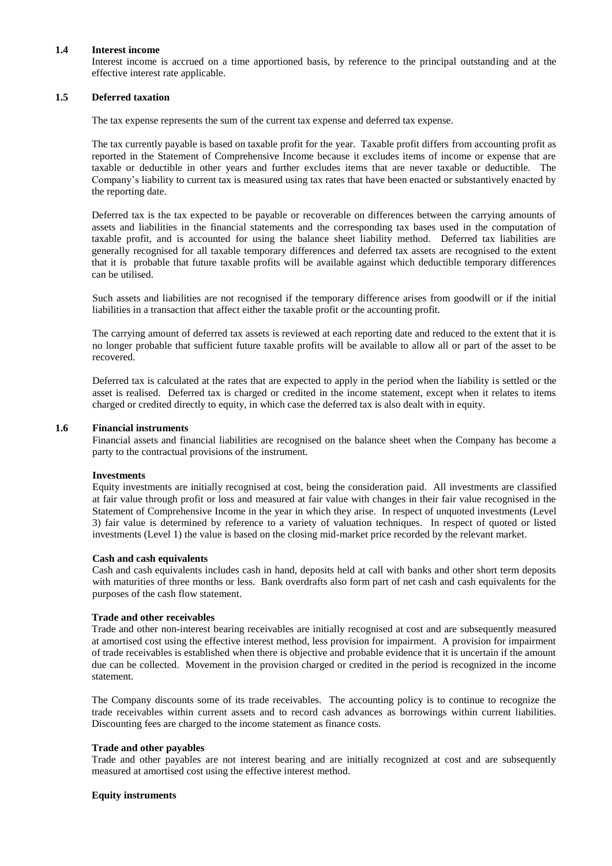#### **1.4 Interest income**

Interest income is accrued on a time apportioned basis, by reference to the principal outstanding and at the effective interest rate applicable.

# **1.5 Deferred taxation**

The tax expense represents the sum of the current tax expense and deferred tax expense.

The tax currently payable is based on taxable profit for the year. Taxable profit differs from accounting profit as reported in the Statement of Comprehensive Income because it excludes items of income or expense that are taxable or deductible in other years and further excludes items that are never taxable or deductible. The Company's liability to current tax is measured using tax rates that have been enacted or substantively enacted by the reporting date.

Deferred tax is the tax expected to be payable or recoverable on differences between the carrying amounts of assets and liabilities in the financial statements and the corresponding tax bases used in the computation of taxable profit, and is accounted for using the balance sheet liability method. Deferred tax liabilities are generally recognised for all taxable temporary differences and deferred tax assets are recognised to the extent that it is probable that future taxable profits will be available against which deductible temporary differences can be utilised.

Such assets and liabilities are not recognised if the temporary difference arises from goodwill or if the initial liabilities in a transaction that affect either the taxable profit or the accounting profit.

The carrying amount of deferred tax assets is reviewed at each reporting date and reduced to the extent that it is no longer probable that sufficient future taxable profits will be available to allow all or part of the asset to be recovered.

Deferred tax is calculated at the rates that are expected to apply in the period when the liability is settled or the asset is realised. Deferred tax is charged or credited in the income statement, except when it relates to items charged or credited directly to equity, in which case the deferred tax is also dealt with in equity.

### **1.6 Financial instruments**

Financial assets and financial liabilities are recognised on the balance sheet when the Company has become a party to the contractual provisions of the instrument.

#### **Investments**

Equity investments are initially recognised at cost, being the consideration paid. All investments are classified at fair value through profit or loss and measured at fair value with changes in their fair value recognised in the Statement of Comprehensive Income in the year in which they arise. In respect of unquoted investments (Level 3) fair value is determined by reference to a variety of valuation techniques. In respect of quoted or listed investments (Level 1) the value is based on the closing mid-market price recorded by the relevant market.

#### **Cash and cash equivalents**

Cash and cash equivalents includes cash in hand, deposits held at call with banks and other short term deposits with maturities of three months or less. Bank overdrafts also form part of net cash and cash equivalents for the purposes of the cash flow statement.

#### **Trade and other receivables**

Trade and other non-interest bearing receivables are initially recognised at cost and are subsequently measured at amortised cost using the effective interest method, less provision for impairment. A provision for impairment of trade receivables is established when there is objective and probable evidence that it is uncertain if the amount due can be collected. Movement in the provision charged or credited in the period is recognized in the income statement.

The Company discounts some of its trade receivables. The accounting policy is to continue to recognize the trade receivables within current assets and to record cash advances as borrowings within current liabilities. Discounting fees are charged to the income statement as finance costs.

### **Trade and other payables**

Trade and other payables are not interest bearing and are initially recognized at cost and are subsequently measured at amortised cost using the effective interest method.

#### **Equity instruments**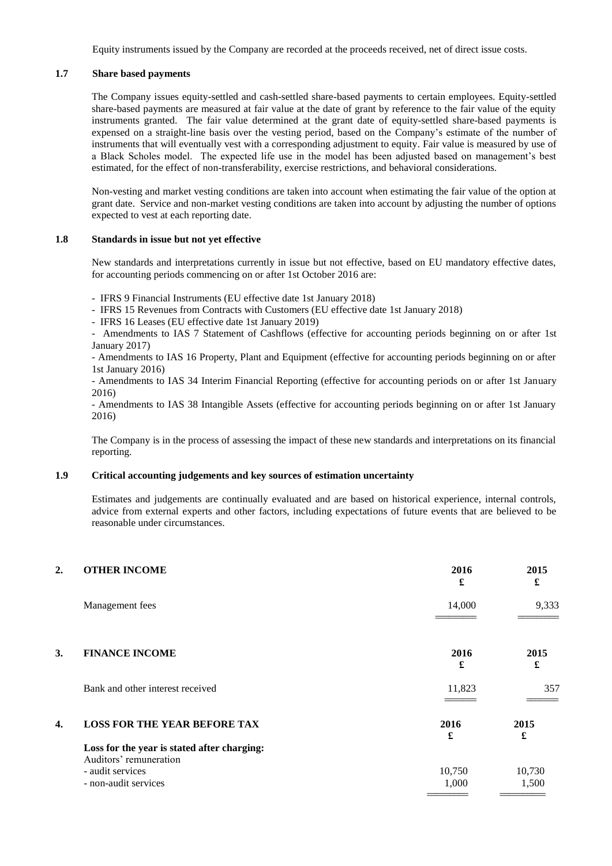Equity instruments issued by the Company are recorded at the proceeds received, net of direct issue costs.

# **1.7 Share based payments**

The Company issues equity-settled and cash-settled share-based payments to certain employees. Equity-settled share-based payments are measured at fair value at the date of grant by reference to the fair value of the equity instruments granted. The fair value determined at the grant date of equity-settled share-based payments is expensed on a straight-line basis over the vesting period, based on the Company's estimate of the number of instruments that will eventually vest with a corresponding adjustment to equity. Fair value is measured by use of a Black Scholes model. The expected life use in the model has been adjusted based on management's best estimated, for the effect of non-transferability, exercise restrictions, and behavioral considerations.

Non-vesting and market vesting conditions are taken into account when estimating the fair value of the option at grant date. Service and non-market vesting conditions are taken into account by adjusting the number of options expected to vest at each reporting date.

#### **1.8 Standards in issue but not yet effective**

New standards and interpretations currently in issue but not effective, based on EU mandatory effective dates, for accounting periods commencing on or after 1st October 2016 are:

- IFRS 9 Financial Instruments (EU effective date 1st January 2018)

- IFRS 15 Revenues from Contracts with Customers (EU effective date 1st January 2018)

- IFRS 16 Leases (EU effective date 1st January 2019)

- Amendments to IAS 7 Statement of Cashflows (effective for accounting periods beginning on or after 1st January 2017)

- Amendments to IAS 16 Property, Plant and Equipment (effective for accounting periods beginning on or after 1st January 2016)

- Amendments to IAS 34 Interim Financial Reporting (effective for accounting periods on or after 1st January 2016)

- Amendments to IAS 38 Intangible Assets (effective for accounting periods beginning on or after 1st January 2016)

The Company is in the process of assessing the impact of these new standards and interpretations on its financial reporting.

## **1.9 Critical accounting judgements and key sources of estimation uncertainty**

Estimates and judgements are continually evaluated and are based on historical experience, internal controls, advice from external experts and other factors, including expectations of future events that are believed to be reasonable under circumstances.

| 2. | <b>OTHER INCOME</b>                         | 2016<br>£ | 2015<br>£ |
|----|---------------------------------------------|-----------|-----------|
|    | Management fees                             | 14,000    | 9,333     |
| 3. | <b>FINANCE INCOME</b>                       | 2016<br>£ | 2015<br>£ |
|    | Bank and other interest received            | 11,823    | 357       |
| 4. | <b>LOSS FOR THE YEAR BEFORE TAX</b>         | 2016<br>£ | 2015<br>£ |
|    | Loss for the year is stated after charging: |           |           |
|    | Auditors' remuneration<br>- audit services  | 10,750    | 10,730    |
|    | - non-audit services                        | 1,000     | 1,500     |
|    |                                             |           |           |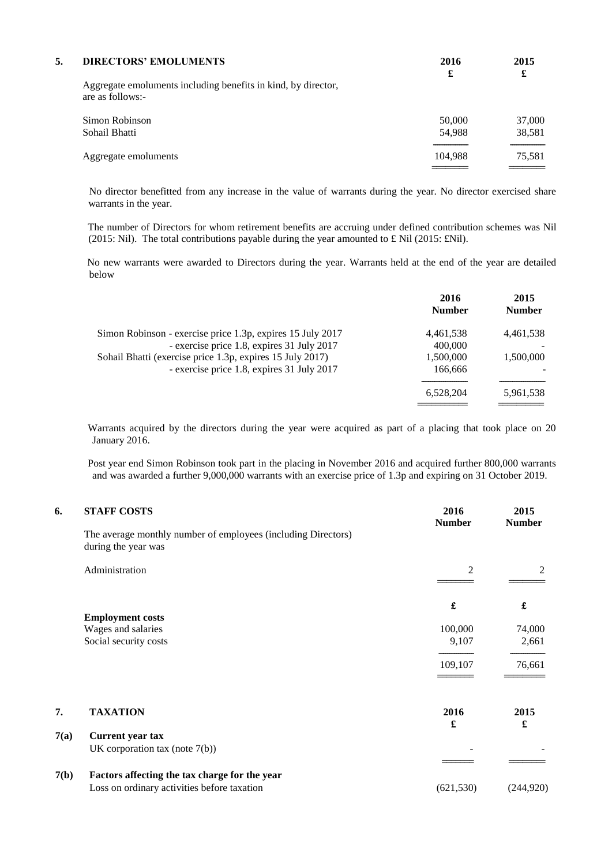| 5. | <b>DIRECTORS' EMOLUMENTS</b>                                                      | 2016<br>£ | 2015<br>£ |
|----|-----------------------------------------------------------------------------------|-----------|-----------|
|    | Aggregate emoluments including benefits in kind, by director,<br>are as follows:- |           |           |
|    | Simon Robinson                                                                    | 50,000    | 37,000    |
|    | Sohail Bhatti                                                                     | 54,988    | 38,581    |
|    | Aggregate emoluments                                                              | 104,988   | 75,581    |
|    |                                                                                   |           |           |

No director benefitted from any increase in the value of warrants during the year. No director exercised share warrants in the year.

The number of Directors for whom retirement benefits are accruing under defined contribution schemes was Nil (2015: Nil). The total contributions payable during the year amounted to £ Nil (2015: £Nil).

No new warrants were awarded to Directors during the year. Warrants held at the end of the year are detailed below

|                                                            | 2016<br><b>Number</b> | 2015<br><b>Number</b> |
|------------------------------------------------------------|-----------------------|-----------------------|
| Simon Robinson - exercise price 1.3p, expires 15 July 2017 | 4,461,538             | 4,461,538             |
| - exercise price 1.8, expires 31 July 2017                 | 400,000               |                       |
| Sohail Bhatti (exercise price 1.3p, expires 15 July 2017)  | 1,500,000             | 1,500,000             |
| - exercise price 1.8, expires 31 July 2017                 | 166,666               |                       |
|                                                            | 6,528,204             | 5,961,538             |
|                                                            |                       |                       |

Warrants acquired by the directors during the year were acquired as part of a placing that took place on 20 January 2016.

Post year end Simon Robinson took part in the placing in November 2016 and acquired further 800,000 warrants and was awarded a further 9,000,000 warrants with an exercise price of 1.3p and expiring on 31 October 2019.

| 6.   | <b>STAFF COSTS</b>                                                                   | 2016<br><b>Number</b> | 2015<br><b>Number</b> |
|------|--------------------------------------------------------------------------------------|-----------------------|-----------------------|
|      | The average monthly number of employees (including Directors)<br>during the year was |                       |                       |
|      | Administration                                                                       | 2                     | 2                     |
|      |                                                                                      | £                     | £                     |
|      | <b>Employment costs</b>                                                              |                       |                       |
|      | Wages and salaries                                                                   | 100,000               | 74,000                |
|      | Social security costs                                                                | 9,107                 | 2,661                 |
|      |                                                                                      | 109,107               | 76,661                |
| 7.   | <b>TAXATION</b>                                                                      | 2016                  | 2015                  |
| 7(a) | <b>Current year tax</b>                                                              | £                     | £                     |
|      | UK corporation tax (note $7(b)$ )                                                    |                       |                       |
|      |                                                                                      |                       |                       |
| 7(b) | Factors affecting the tax charge for the year                                        |                       |                       |
|      | Loss on ordinary activities before taxation                                          | (621, 530)            | (244, 920)            |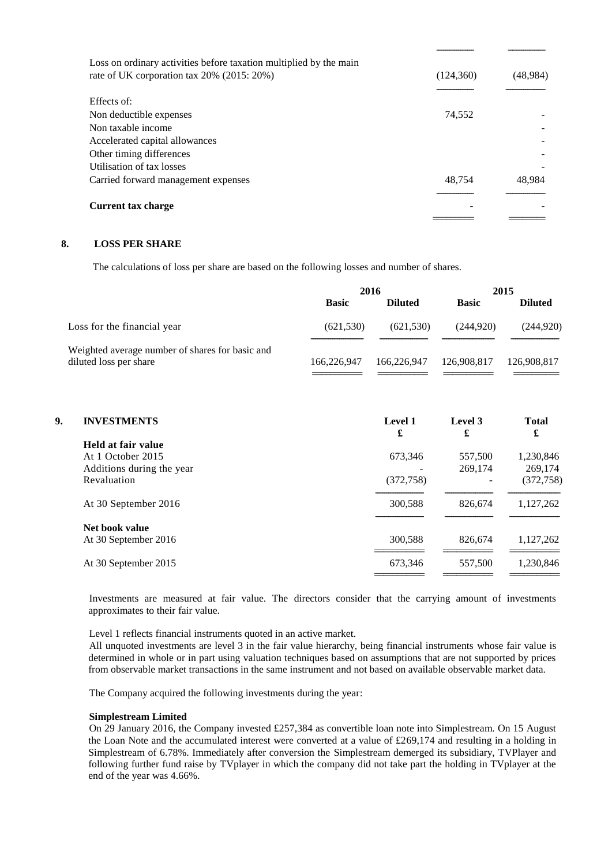| Loss on ordinary activities before taxation multiplied by the main<br>rate of UK corporation tax 20% (2015: 20%) | (124, 360) | (48,984) |
|------------------------------------------------------------------------------------------------------------------|------------|----------|
| Effects of:                                                                                                      |            |          |
| Non deductible expenses                                                                                          | 74,552     |          |
| Non taxable income                                                                                               |            |          |
| Accelerated capital allowances                                                                                   |            |          |
| Other timing differences                                                                                         |            |          |
| Utilisation of tax losses                                                                                        |            |          |
| Carried forward management expenses                                                                              | 48,754     | 48.984   |
| <b>Current tax charge</b>                                                                                        |            |          |
|                                                                                                                  |            |          |

# **8. LOSS PER SHARE**

The calculations of loss per share are based on the following losses and number of shares.

|                                                                           | 2016         |                | 2015         |                |
|---------------------------------------------------------------------------|--------------|----------------|--------------|----------------|
|                                                                           | <b>Basic</b> | <b>Diluted</b> | <b>Basic</b> | <b>Diluted</b> |
| Loss for the financial year                                               | (621, 530)   | (621, 530)     | (244.920)    | (244, 920)     |
| Weighted average number of shares for basic and<br>diluted loss per share | 166,226,947  | 166,226,947    | 126,908,817  | 126,908,817    |

| 9. | <b>INVESTMENTS</b>        | Level 1<br>£ | Level 3<br>£ | <b>Total</b><br>£ |
|----|---------------------------|--------------|--------------|-------------------|
|    | Held at fair value        |              |              |                   |
|    | At 1 October 2015         | 673,346      | 557,500      | 1,230,846         |
|    | Additions during the year |              | 269,174      | 269,174           |
|    | Revaluation               | (372, 758)   |              | (372, 758)        |
|    | At 30 September 2016      | 300,588      | 826,674      | 1,127,262         |
|    | Net book value            |              |              |                   |
|    | At 30 September 2016      | 300.588      | 826,674      | 1,127,262         |
|    | At 30 September 2015      | 673,346      | 557,500      | 1,230,846         |
|    |                           |              |              |                   |

Investments are measured at fair value. The directors consider that the carrying amount of investments approximates to their fair value.

Level 1 reflects financial instruments quoted in an active market.

All unquoted investments are level 3 in the fair value hierarchy, being financial instruments whose fair value is determined in whole or in part using valuation techniques based on assumptions that are not supported by prices from observable market transactions in the same instrument and not based on available observable market data.

The Company acquired the following investments during the year:

### **Simplestream Limited**

On 29 January 2016, the Company invested £257,384 as convertible loan note into Simplestream. On 15 August the Loan Note and the accumulated interest were converted at a value of £269,174 and resulting in a holding in Simplestream of 6.78%. Immediately after conversion the Simplestream demerged its subsidiary, TVPlayer and following further fund raise by TVplayer in which the company did not take part the holding in TVplayer at the end of the year was 4.66%.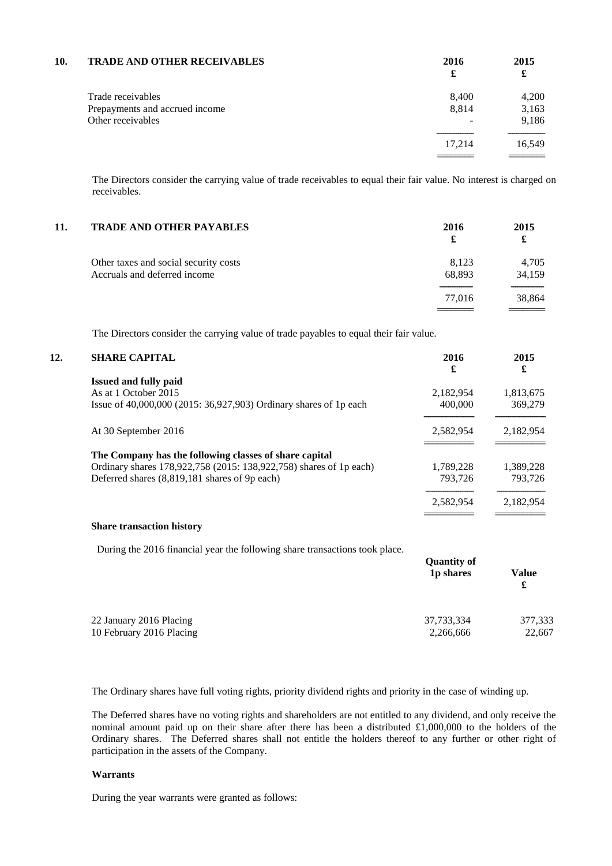| 10. | <b>TRADE AND OTHER RECEIVABLES</b> | 2016<br>£ | 2015<br>£ |
|-----|------------------------------------|-----------|-----------|
|     | Trade receivables                  | 8,400     | 4,200     |
|     | Prepayments and accrued income     | 8,814     | 3,163     |
|     | Other receivables                  |           | 9,186     |
|     |                                    | 17.214    | 16,549    |
|     |                                    |           |           |

The Directors consider the carrying value of trade receivables to equal their fair value. No interest is charged on receivables.

| 11. | <b>TRADE AND OTHER PAYABLES</b>                                       | 2016<br>£       | 2015<br>£       |
|-----|-----------------------------------------------------------------------|-----------------|-----------------|
|     | Other taxes and social security costs<br>Accruals and deferred income | 8,123<br>68,893 | 4,705<br>34,159 |
|     |                                                                       | 77.016          | 38,864          |

The Directors consider the carrying value of trade payables to equal their fair value.

# **12. SHARE CAPITAL 2016 2015**

|                                                                    | £         | £         |
|--------------------------------------------------------------------|-----------|-----------|
| <b>Issued and fully paid</b>                                       |           |           |
| As at 1 October 2015                                               | 2,182,954 | 1,813,675 |
| Issue of 40,000,000 (2015: 36,927,903) Ordinary shares of 1p each  | 400,000   | 369,279   |
| At 30 September 2016                                               | 2,582,954 | 2,182,954 |
| The Company has the following classes of share capital             |           |           |
| Ordinary shares 178,922,758 (2015: 138,922,758) shares of 1p each) | 1,789,228 | 1,389,228 |
| Deferred shares (8,819,181 shares of 9p each)                      | 793.726   | 793.726   |
|                                                                    | 2,582,954 | 2.182.954 |
|                                                                    |           |           |

# **Share transaction history**

During the 2016 financial year the following share transactions took place.

| 1p shares  | Value             |
|------------|-------------------|
|            | £                 |
| 37,733,334 | 377,333<br>22,667 |
|            | 2,266,666         |

The Ordinary shares have full voting rights, priority dividend rights and priority in the case of winding up.

The Deferred shares have no voting rights and shareholders are not entitled to any dividend, and only receive the nominal amount paid up on their share after there has been a distributed £1,000,000 to the holders of the Ordinary shares. The Deferred shares shall not entitle the holders thereof to any further or other right of participation in the assets of the Company.

### **Warrants**

During the year warrants were granted as follows: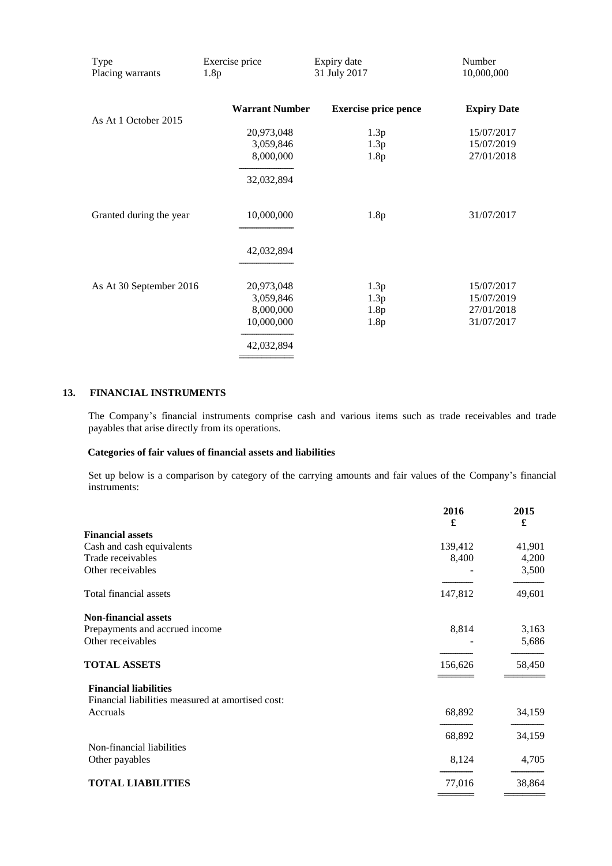| Type<br>Placing warrants | Exercise price<br>1.8p | Expiry date<br>31 July 2017 | Number<br>10,000,000 |
|--------------------------|------------------------|-----------------------------|----------------------|
| As At 1 October 2015     | <b>Warrant Number</b>  | <b>Exercise price pence</b> | <b>Expiry Date</b>   |
|                          | 20,973,048             | 1.3p                        | 15/07/2017           |
|                          | 3,059,846              | 1.3p                        | 15/07/2019           |
|                          | 8,000,000              | 1.8p                        | 27/01/2018           |
|                          | 32,032,894             |                             |                      |
| Granted during the year  | 10,000,000             | 1.8p                        | 31/07/2017           |
|                          | 42,032,894             |                             |                      |
| As At 30 September 2016  | 20,973,048             | 1.3p                        | 15/07/2017           |
|                          | 3,059,846              | 1.3p                        | 15/07/2019           |
|                          | 8,000,000              | 1.8p                        | 27/01/2018           |
|                          | 10,000,000             | 1.8p                        | 31/07/2017           |
|                          | 42,032,894             |                             |                      |

# **13. FINANCIAL INSTRUMENTS**

The Company's financial instruments comprise cash and various items such as trade receivables and trade payables that arise directly from its operations.

# **Categories of fair values of financial assets and liabilities**

Set up below is a comparison by category of the carrying amounts and fair values of the Company's financial instruments:

|                                                   | 2016<br>£ | 2015<br>£ |
|---------------------------------------------------|-----------|-----------|
| <b>Financial assets</b>                           |           |           |
| Cash and cash equivalents                         | 139,412   | 41,901    |
| Trade receivables                                 | 8,400     | 4,200     |
| Other receivables                                 |           | 3,500     |
| Total financial assets                            | 147,812   | 49,601    |
| <b>Non-financial assets</b>                       |           |           |
| Prepayments and accrued income                    | 8,814     | 3,163     |
| Other receivables                                 |           | 5,686     |
| <b>TOTAL ASSETS</b>                               | 156,626   | 58,450    |
| <b>Financial liabilities</b>                      |           |           |
| Financial liabilities measured at amortised cost: |           |           |
| Accruals                                          | 68,892    | 34,159    |
|                                                   | 68,892    | 34,159    |
| Non-financial liabilities                         |           |           |
| Other payables                                    | 8,124     | 4,705     |
| <b>TOTAL LIABILITIES</b>                          | 77,016    | 38,864    |
|                                                   |           |           |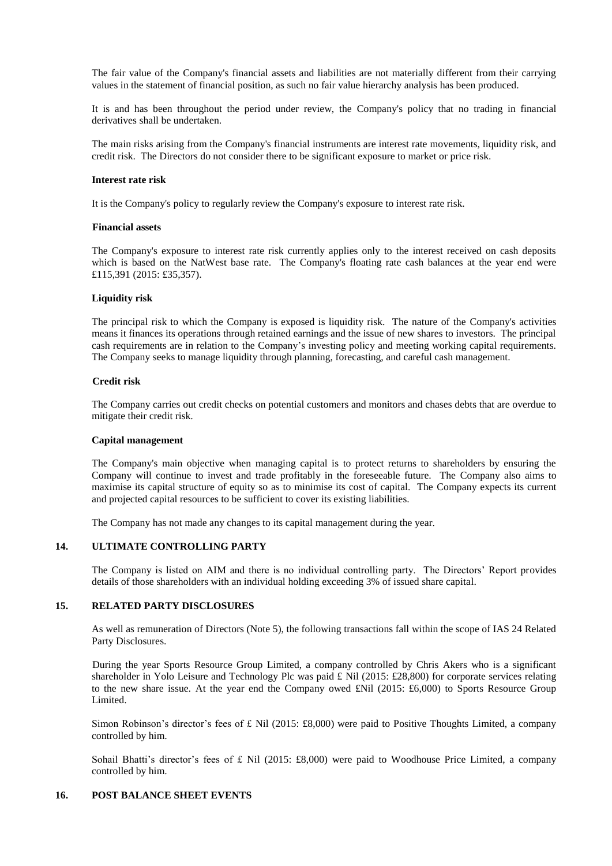The fair value of the Company's financial assets and liabilities are not materially different from their carrying values in the statement of financial position, as such no fair value hierarchy analysis has been produced.

It is and has been throughout the period under review, the Company's policy that no trading in financial derivatives shall be undertaken.

The main risks arising from the Company's financial instruments are interest rate movements, liquidity risk, and credit risk. The Directors do not consider there to be significant exposure to market or price risk.

#### **Interest rate risk**

It is the Company's policy to regularly review the Company's exposure to interest rate risk.

#### **Financial assets**

The Company's exposure to interest rate risk currently applies only to the interest received on cash deposits which is based on the NatWest base rate. The Company's floating rate cash balances at the year end were £115,391 (2015: £35,357).

### **Liquidity risk**

The principal risk to which the Company is exposed is liquidity risk. The nature of the Company's activities means it finances its operations through retained earnings and the issue of new shares to investors. The principal cash requirements are in relation to the Company's investing policy and meeting working capital requirements. The Company seeks to manage liquidity through planning, forecasting, and careful cash management.

#### **Credit risk**

The Company carries out credit checks on potential customers and monitors and chases debts that are overdue to mitigate their credit risk.

#### **Capital management**

The Company's main objective when managing capital is to protect returns to shareholders by ensuring the Company will continue to invest and trade profitably in the foreseeable future. The Company also aims to maximise its capital structure of equity so as to minimise its cost of capital. The Company expects its current and projected capital resources to be sufficient to cover its existing liabilities.

The Company has not made any changes to its capital management during the year.

# **14. ULTIMATE CONTROLLING PARTY**

The Company is listed on AIM and there is no individual controlling party. The Directors' Report provides details of those shareholders with an individual holding exceeding 3% of issued share capital.

### **15. RELATED PARTY DISCLOSURES**

As well as remuneration of Directors (Note 5), the following transactions fall within the scope of IAS 24 Related Party Disclosures.

During the year Sports Resource Group Limited, a company controlled by Chris Akers who is a significant shareholder in Yolo Leisure and Technology Plc was paid £ Nil (2015: £28,800) for corporate services relating to the new share issue. At the year end the Company owed £Nil (2015: £6,000) to Sports Resource Group Limited.

Simon Robinson's director's fees of £ Nil (2015: £8,000) were paid to Positive Thoughts Limited, a company controlled by him.

Sohail Bhatti's director's fees of £ Nil (2015: £8,000) were paid to Woodhouse Price Limited, a company controlled by him.

## **16. POST BALANCE SHEET EVENTS**